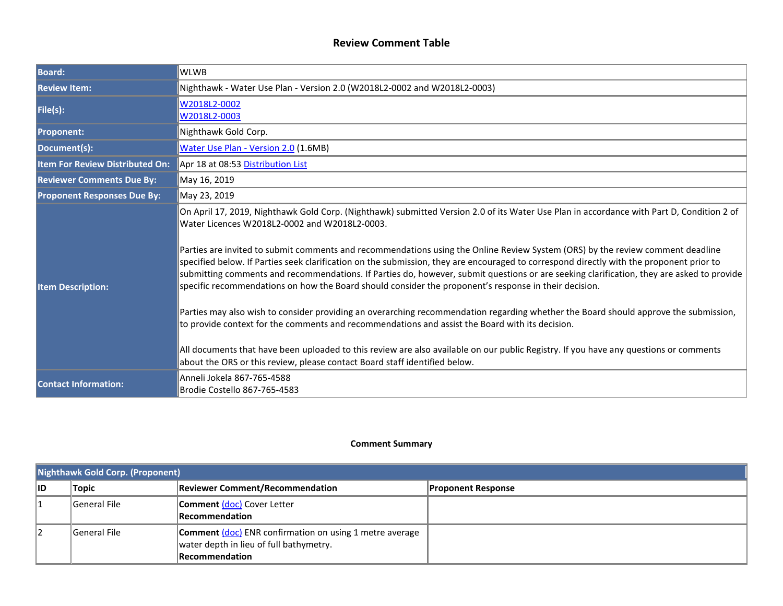#### **Review Comment Table**

| <b>Board:</b>                      | WLWB                                                                                                                                                                                                                                                                                                                                                                                                                                                                                                                                                                                                                                                                                                                                                                                                                                                                                                                                                                                                                                                                                                                                                                                             |  |  |
|------------------------------------|--------------------------------------------------------------------------------------------------------------------------------------------------------------------------------------------------------------------------------------------------------------------------------------------------------------------------------------------------------------------------------------------------------------------------------------------------------------------------------------------------------------------------------------------------------------------------------------------------------------------------------------------------------------------------------------------------------------------------------------------------------------------------------------------------------------------------------------------------------------------------------------------------------------------------------------------------------------------------------------------------------------------------------------------------------------------------------------------------------------------------------------------------------------------------------------------------|--|--|
| <b>Review Item:</b>                | Nighthawk - Water Use Plan - Version 2.0 (W2018L2-0002 and W2018L2-0003)                                                                                                                                                                                                                                                                                                                                                                                                                                                                                                                                                                                                                                                                                                                                                                                                                                                                                                                                                                                                                                                                                                                         |  |  |
| File(s):                           | W2018L2-0002<br>W2018L2-0003                                                                                                                                                                                                                                                                                                                                                                                                                                                                                                                                                                                                                                                                                                                                                                                                                                                                                                                                                                                                                                                                                                                                                                     |  |  |
| <b>Proponent:</b>                  | Nighthawk Gold Corp.                                                                                                                                                                                                                                                                                                                                                                                                                                                                                                                                                                                                                                                                                                                                                                                                                                                                                                                                                                                                                                                                                                                                                                             |  |  |
| Document(s):                       | Water Use Plan - Version 2.0 (1.6MB)                                                                                                                                                                                                                                                                                                                                                                                                                                                                                                                                                                                                                                                                                                                                                                                                                                                                                                                                                                                                                                                                                                                                                             |  |  |
| Item For Review Distributed On:    | Apr 18 at 08:53 Distribution List                                                                                                                                                                                                                                                                                                                                                                                                                                                                                                                                                                                                                                                                                                                                                                                                                                                                                                                                                                                                                                                                                                                                                                |  |  |
| <b>Reviewer Comments Due By:</b>   | May 16, 2019                                                                                                                                                                                                                                                                                                                                                                                                                                                                                                                                                                                                                                                                                                                                                                                                                                                                                                                                                                                                                                                                                                                                                                                     |  |  |
| <b>Proponent Responses Due By:</b> | May 23, 2019                                                                                                                                                                                                                                                                                                                                                                                                                                                                                                                                                                                                                                                                                                                                                                                                                                                                                                                                                                                                                                                                                                                                                                                     |  |  |
| <b>Item Description:</b>           | On April 17, 2019, Nighthawk Gold Corp. (Nighthawk) submitted Version 2.0 of its Water Use Plan in accordance with Part D, Condition 2 of<br>Water Licences W2018L2-0002 and W2018L2-0003.<br>Parties are invited to submit comments and recommendations using the Online Review System (ORS) by the review comment deadline<br>specified below. If Parties seek clarification on the submission, they are encouraged to correspond directly with the proponent prior to<br>submitting comments and recommendations. If Parties do, however, submit questions or are seeking clarification, they are asked to provide<br>specific recommendations on how the Board should consider the proponent's response in their decision.<br>Parties may also wish to consider providing an overarching recommendation regarding whether the Board should approve the submission,<br>to provide context for the comments and recommendations and assist the Board with its decision.<br>All documents that have been uploaded to this review are also available on our public Registry. If you have any questions or comments<br>about the ORS or this review, please contact Board staff identified below. |  |  |
| <b>Contact Information:</b>        | Anneli Jokela 867-765-4588<br>Brodie Costello 867-765-4583                                                                                                                                                                                                                                                                                                                                                                                                                                                                                                                                                                                                                                                                                                                                                                                                                                                                                                                                                                                                                                                                                                                                       |  |  |

#### **Comment Summary**

|     | Nighthawk Gold Corp. (Proponent) |                                                                                                                                    |                           |  |
|-----|----------------------------------|------------------------------------------------------------------------------------------------------------------------------------|---------------------------|--|
| lid | <b>Topic</b>                     | <b>Reviewer Comment/Recommendation</b>                                                                                             | <b>Proponent Response</b> |  |
|     | General File                     | <b>Comment (doc)</b> Cover Letter<br><b>Recommendation</b>                                                                         |                           |  |
|     | <b>General File</b>              | <b>Comment (doc)</b> ENR confirmation on using 1 metre average<br>water depth in lieu of full bathymetry.<br><b>Recommendation</b> |                           |  |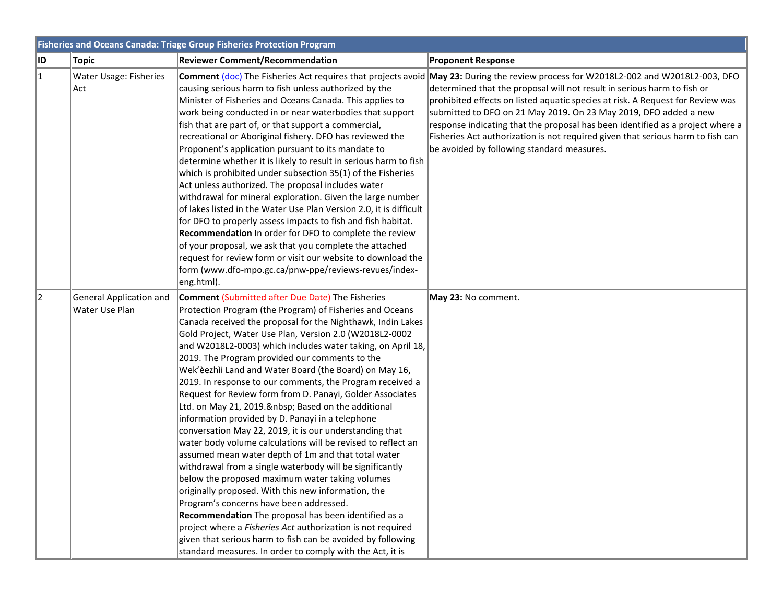|     | <b>Fisheries and Oceans Canada: Triage Group Fisheries Protection Program</b> |                                                                                                                                                                                                                                                                                                                                                                                                                                                                                                                                                                                                                                                                                                                                                                                                                                                                                                                                                                                                                                                                                                                                                                                                                                                                                                                       |                                                                                                                                                                                                                                                                                                                                                                                                                                                                                                                            |  |
|-----|-------------------------------------------------------------------------------|-----------------------------------------------------------------------------------------------------------------------------------------------------------------------------------------------------------------------------------------------------------------------------------------------------------------------------------------------------------------------------------------------------------------------------------------------------------------------------------------------------------------------------------------------------------------------------------------------------------------------------------------------------------------------------------------------------------------------------------------------------------------------------------------------------------------------------------------------------------------------------------------------------------------------------------------------------------------------------------------------------------------------------------------------------------------------------------------------------------------------------------------------------------------------------------------------------------------------------------------------------------------------------------------------------------------------|----------------------------------------------------------------------------------------------------------------------------------------------------------------------------------------------------------------------------------------------------------------------------------------------------------------------------------------------------------------------------------------------------------------------------------------------------------------------------------------------------------------------------|--|
| ID. | <b>Topic</b>                                                                  | <b>Reviewer Comment/Recommendation</b>                                                                                                                                                                                                                                                                                                                                                                                                                                                                                                                                                                                                                                                                                                                                                                                                                                                                                                                                                                                                                                                                                                                                                                                                                                                                                | <b>Proponent Response</b>                                                                                                                                                                                                                                                                                                                                                                                                                                                                                                  |  |
| 1   | <b>Water Usage: Fisheries</b><br>Act                                          | <b>Comment (doc)</b> The Fisheries Act requires that projects avoid<br>causing serious harm to fish unless authorized by the<br>Minister of Fisheries and Oceans Canada. This applies to<br>work being conducted in or near waterbodies that support<br>fish that are part of, or that support a commercial,<br>recreational or Aboriginal fishery. DFO has reviewed the<br>Proponent's application pursuant to its mandate to<br>determine whether it is likely to result in serious harm to fish<br>which is prohibited under subsection 35(1) of the Fisheries<br>Act unless authorized. The proposal includes water<br>withdrawal for mineral exploration. Given the large number<br>of lakes listed in the Water Use Plan Version 2.0, it is difficult<br>for DFO to properly assess impacts to fish and fish habitat.<br>Recommendation In order for DFO to complete the review<br>of your proposal, we ask that you complete the attached<br>request for review form or visit our website to download the<br>form (www.dfo-mpo.gc.ca/pnw-ppe/reviews-revues/index-<br>eng.html).                                                                                                                                                                                                                               | May 23: During the review process for W2018L2-002 and W2018L2-003, DFO<br>determined that the proposal will not result in serious harm to fish or<br>prohibited effects on listed aquatic species at risk. A Request for Review was<br>submitted to DFO on 21 May 2019. On 23 May 2019, DFO added a new<br>response indicating that the proposal has been identified as a project where a<br>Fisheries Act authorization is not required given that serious harm to fish can<br>be avoided by following standard measures. |  |
| 2   | General Application and<br>Water Use Plan                                     | <b>Comment (Submitted after Due Date) The Fisheries</b><br>Protection Program (the Program) of Fisheries and Oceans<br>Canada received the proposal for the Nighthawk, Indin Lakes<br>Gold Project, Water Use Plan, Version 2.0 (W2018L2-0002<br>and W2018L2-0003) which includes water taking, on April 18,<br>2019. The Program provided our comments to the<br>Wek'èezhii Land and Water Board (the Board) on May 16,<br>2019. In response to our comments, the Program received a<br>Request for Review form from D. Panayi, Golder Associates<br>Ltd. on May 21, 2019.  Based on the additional<br>information provided by D. Panayi in a telephone<br>conversation May 22, 2019, it is our understanding that<br>water body volume calculations will be revised to reflect an<br>assumed mean water depth of 1m and that total water<br>withdrawal from a single waterbody will be significantly<br>below the proposed maximum water taking volumes<br>originally proposed. With this new information, the<br>Program's concerns have been addressed.<br>Recommendation The proposal has been identified as a<br>project where a <i>Fisheries Act</i> authorization is not required<br>given that serious harm to fish can be avoided by following<br>standard measures. In order to comply with the Act, it is | May 23: No comment.                                                                                                                                                                                                                                                                                                                                                                                                                                                                                                        |  |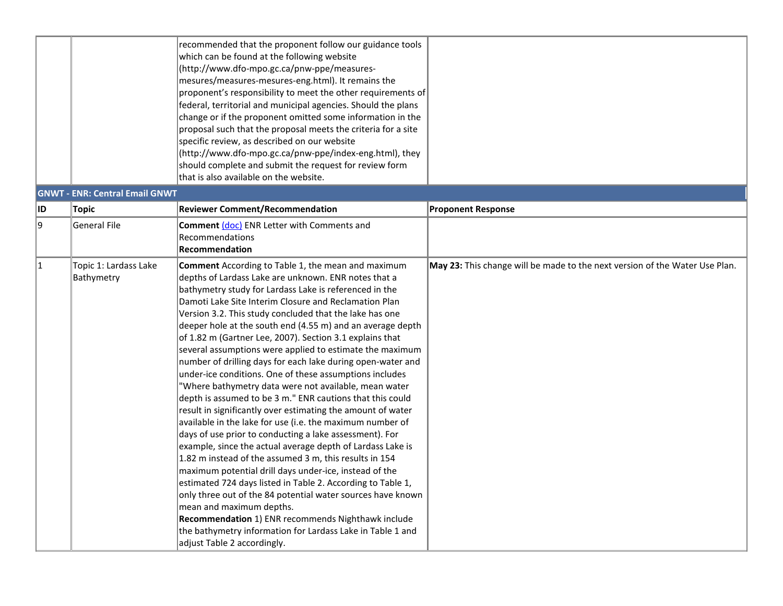|    |                                       | recommended that the proponent follow our guidance tools<br>which can be found at the following website<br>(http://www.dfo-mpo.gc.ca/pnw-ppe/measures-<br>mesures/measures-mesures-eng.html). It remains the<br>proponent's responsibility to meet the other requirements of<br>federal, territorial and municipal agencies. Should the plans<br>change or if the proponent omitted some information in the                                                                                                                                                                                                                                                                                                                                                                                                                                                                                                                                                                                                                                                                                                                                                                                                                                                                                                                                                                                                                 |                                                                             |
|----|---------------------------------------|-----------------------------------------------------------------------------------------------------------------------------------------------------------------------------------------------------------------------------------------------------------------------------------------------------------------------------------------------------------------------------------------------------------------------------------------------------------------------------------------------------------------------------------------------------------------------------------------------------------------------------------------------------------------------------------------------------------------------------------------------------------------------------------------------------------------------------------------------------------------------------------------------------------------------------------------------------------------------------------------------------------------------------------------------------------------------------------------------------------------------------------------------------------------------------------------------------------------------------------------------------------------------------------------------------------------------------------------------------------------------------------------------------------------------------|-----------------------------------------------------------------------------|
|    |                                       | proposal such that the proposal meets the criteria for a site<br>specific review, as described on our website<br>(http://www.dfo-mpo.gc.ca/pnw-ppe/index-eng.html), they<br>should complete and submit the request for review form<br>that is also available on the website.                                                                                                                                                                                                                                                                                                                                                                                                                                                                                                                                                                                                                                                                                                                                                                                                                                                                                                                                                                                                                                                                                                                                                |                                                                             |
|    | <b>GNWT - ENR: Central Email GNWT</b> |                                                                                                                                                                                                                                                                                                                                                                                                                                                                                                                                                                                                                                                                                                                                                                                                                                                                                                                                                                                                                                                                                                                                                                                                                                                                                                                                                                                                                             |                                                                             |
| ID | Topic                                 | <b>Reviewer Comment/Recommendation</b>                                                                                                                                                                                                                                                                                                                                                                                                                                                                                                                                                                                                                                                                                                                                                                                                                                                                                                                                                                                                                                                                                                                                                                                                                                                                                                                                                                                      | <b>Proponent Response</b>                                                   |
| 9  | <b>General File</b>                   | Comment (doc) ENR Letter with Comments and<br>Recommendations<br><b>Recommendation</b>                                                                                                                                                                                                                                                                                                                                                                                                                                                                                                                                                                                                                                                                                                                                                                                                                                                                                                                                                                                                                                                                                                                                                                                                                                                                                                                                      |                                                                             |
| 1  | Topic 1: Lardass Lake<br>Bathymetry   | <b>Comment</b> According to Table 1, the mean and maximum<br>depths of Lardass Lake are unknown. ENR notes that a<br>bathymetry study for Lardass Lake is referenced in the<br>Damoti Lake Site Interim Closure and Reclamation Plan<br>Version 3.2. This study concluded that the lake has one<br>deeper hole at the south end (4.55 m) and an average depth<br>of 1.82 m (Gartner Lee, 2007). Section 3.1 explains that<br>several assumptions were applied to estimate the maximum<br>number of drilling days for each lake during open-water and<br>under-ice conditions. One of these assumptions includes<br>"Where bathymetry data were not available, mean water<br>depth is assumed to be 3 m." ENR cautions that this could<br>result in significantly over estimating the amount of water<br>available in the lake for use (i.e. the maximum number of<br>days of use prior to conducting a lake assessment). For<br>example, since the actual average depth of Lardass Lake is<br>1.82 m instead of the assumed 3 m, this results in 154<br>maximum potential drill days under-ice, instead of the<br>estimated 724 days listed in Table 2. According to Table 1,<br>only three out of the 84 potential water sources have known<br>mean and maximum depths.<br>Recommendation 1) ENR recommends Nighthawk include<br>the bathymetry information for Lardass Lake in Table 1 and<br>adjust Table 2 accordingly. | May 23: This change will be made to the next version of the Water Use Plan. |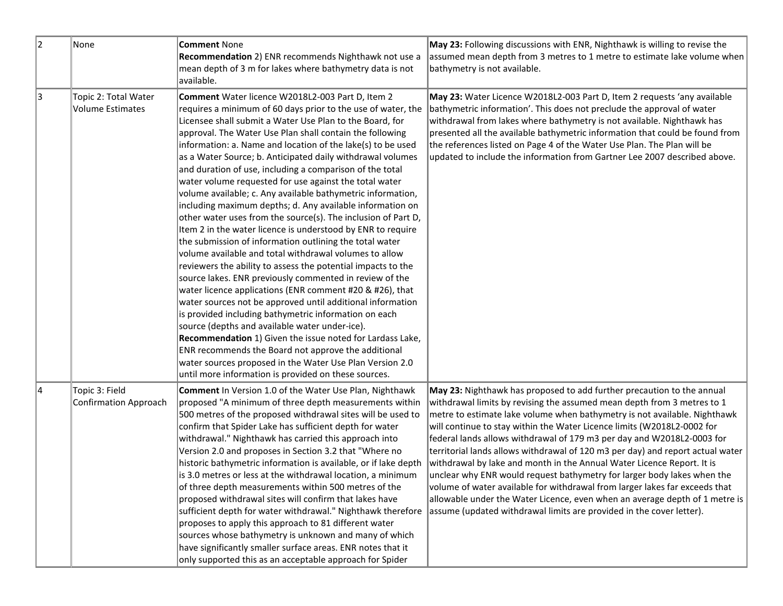| 2  | None                                            | <b>Comment None</b><br>Recommendation 2) ENR recommends Nighthawk not use a<br>mean depth of 3 m for lakes where bathymetry data is not<br>available.                                                                                                                                                                                                                                                                                                                                                                                                                                                                                                                                                                                                                                                                                                                                                                                                                                                                                                                                                                                                                                                                                                                                                                                                                                                                                                                                | May 23: Following discussions with ENR, Nighthawk is willing to revise the<br>assumed mean depth from 3 metres to 1 metre to estimate lake volume when<br>bathymetry is not available.                                                                                                                                                                                                                                                                                                                                                                                                                                                                                                                                                                                                                                                                           |
|----|-------------------------------------------------|--------------------------------------------------------------------------------------------------------------------------------------------------------------------------------------------------------------------------------------------------------------------------------------------------------------------------------------------------------------------------------------------------------------------------------------------------------------------------------------------------------------------------------------------------------------------------------------------------------------------------------------------------------------------------------------------------------------------------------------------------------------------------------------------------------------------------------------------------------------------------------------------------------------------------------------------------------------------------------------------------------------------------------------------------------------------------------------------------------------------------------------------------------------------------------------------------------------------------------------------------------------------------------------------------------------------------------------------------------------------------------------------------------------------------------------------------------------------------------------|------------------------------------------------------------------------------------------------------------------------------------------------------------------------------------------------------------------------------------------------------------------------------------------------------------------------------------------------------------------------------------------------------------------------------------------------------------------------------------------------------------------------------------------------------------------------------------------------------------------------------------------------------------------------------------------------------------------------------------------------------------------------------------------------------------------------------------------------------------------|
| 3  | Topic 2: Total Water<br><b>Volume Estimates</b> | Comment Water licence W2018L2-003 Part D, Item 2<br>requires a minimum of 60 days prior to the use of water, the<br>Licensee shall submit a Water Use Plan to the Board, for<br>approval. The Water Use Plan shall contain the following<br>information: a. Name and location of the lake(s) to be used<br>as a Water Source; b. Anticipated daily withdrawal volumes<br>and duration of use, including a comparison of the total<br>water volume requested for use against the total water<br>volume available; c. Any available bathymetric information,<br>including maximum depths; d. Any available information on<br>other water uses from the source(s). The inclusion of Part D,<br>Item 2 in the water licence is understood by ENR to require<br>the submission of information outlining the total water<br>volume available and total withdrawal volumes to allow<br>reviewers the ability to assess the potential impacts to the<br>source lakes. ENR previously commented in review of the<br>water licence applications (ENR comment #20 & #26), that<br>water sources not be approved until additional information<br>is provided including bathymetric information on each<br>source (depths and available water under-ice).<br>Recommendation 1) Given the issue noted for Lardass Lake,<br>ENR recommends the Board not approve the additional<br>water sources proposed in the Water Use Plan Version 2.0<br>until more information is provided on these sources. | May 23: Water Licence W2018L2-003 Part D, Item 2 requests 'any available<br>bathymetric information'. This does not preclude the approval of water<br>withdrawal from lakes where bathymetry is not available. Nighthawk has<br>presented all the available bathymetric information that could be found from<br>the references listed on Page 4 of the Water Use Plan. The Plan will be<br>updated to include the information from Gartner Lee 2007 described above.                                                                                                                                                                                                                                                                                                                                                                                             |
| 14 | Topic 3: Field<br>Confirmation Approach         | <b>Comment</b> In Version 1.0 of the Water Use Plan, Nighthawk<br>proposed "A minimum of three depth measurements within<br>500 metres of the proposed withdrawal sites will be used to<br>confirm that Spider Lake has sufficient depth for water<br>withdrawal." Nighthawk has carried this approach into<br>Version 2.0 and proposes in Section 3.2 that "Where no<br>historic bathymetric information is available, or if lake depth<br>is 3.0 metres or less at the withdrawal location, a minimum<br>of three depth measurements within 500 metres of the<br>proposed withdrawal sites will confirm that lakes have<br>sufficient depth for water withdrawal." Nighthawk therefore<br>proposes to apply this approach to 81 different water<br>sources whose bathymetry is unknown and many of which<br>have significantly smaller surface areas. ENR notes that it<br>only supported this as an acceptable approach for Spider                                                                                                                                                                                                                                                                                                                                                                                                                                                                                                                                                | May 23: Nighthawk has proposed to add further precaution to the annual<br>withdrawal limits by revising the assumed mean depth from 3 metres to 1<br>metre to estimate lake volume when bathymetry is not available. Nighthawk<br>will continue to stay within the Water Licence limits (W2018L2-0002 for<br>federal lands allows withdrawal of 179 m3 per day and W2018L2-0003 for<br>territorial lands allows withdrawal of 120 m3 per day) and report actual water<br>withdrawal by lake and month in the Annual Water Licence Report. It is<br>unclear why ENR would request bathymetry for larger body lakes when the<br>volume of water available for withdrawal from larger lakes far exceeds that<br>allowable under the Water Licence, even when an average depth of 1 metre is<br>assume (updated withdrawal limits are provided in the cover letter). |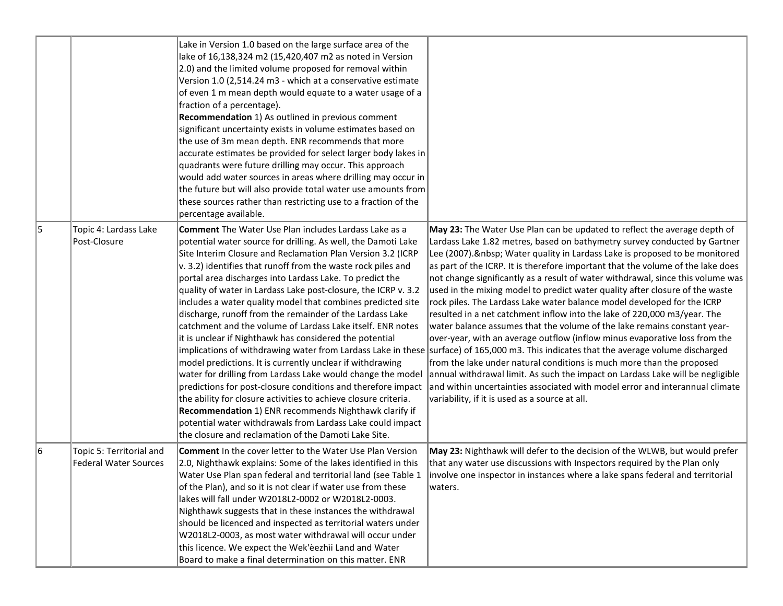|    |                                                          | Lake in Version 1.0 based on the large surface area of the<br>lake of 16,138,324 m2 (15,420,407 m2 as noted in Version<br>2.0) and the limited volume proposed for removal within<br>Version 1.0 (2,514.24 m3 - which at a conservative estimate<br>of even 1 m mean depth would equate to a water usage of a<br>fraction of a percentage).<br>Recommendation 1) As outlined in previous comment<br>significant uncertainty exists in volume estimates based on<br>the use of 3m mean depth. ENR recommends that more<br>accurate estimates be provided for select larger body lakes in<br>quadrants were future drilling may occur. This approach<br>would add water sources in areas where drilling may occur in<br>the future but will also provide total water use amounts from<br>these sources rather than restricting use to a fraction of the<br>percentage available.                                                                                                                                                                                                                       |                                                                                                                                                                                                                                                                                                                                                                                                                                                                                                                                                                                                                                                                                                                                                                                                                                                                                                                                                                                                                                                                                                                                                                                                                                                 |
|----|----------------------------------------------------------|------------------------------------------------------------------------------------------------------------------------------------------------------------------------------------------------------------------------------------------------------------------------------------------------------------------------------------------------------------------------------------------------------------------------------------------------------------------------------------------------------------------------------------------------------------------------------------------------------------------------------------------------------------------------------------------------------------------------------------------------------------------------------------------------------------------------------------------------------------------------------------------------------------------------------------------------------------------------------------------------------------------------------------------------------------------------------------------------------|-------------------------------------------------------------------------------------------------------------------------------------------------------------------------------------------------------------------------------------------------------------------------------------------------------------------------------------------------------------------------------------------------------------------------------------------------------------------------------------------------------------------------------------------------------------------------------------------------------------------------------------------------------------------------------------------------------------------------------------------------------------------------------------------------------------------------------------------------------------------------------------------------------------------------------------------------------------------------------------------------------------------------------------------------------------------------------------------------------------------------------------------------------------------------------------------------------------------------------------------------|
| 15 | Topic 4: Lardass Lake<br>Post-Closure                    | <b>Comment</b> The Water Use Plan includes Lardass Lake as a<br>potential water source for drilling. As well, the Damoti Lake<br>Site Interim Closure and Reclamation Plan Version 3.2 (ICRP<br>$\vert v.$ 3.2) identifies that runoff from the waste rock piles and<br>portal area discharges into Lardass Lake. To predict the<br>quality of water in Lardass Lake post-closure, the ICRP v. 3.2<br>includes a water quality model that combines predicted site<br>discharge, runoff from the remainder of the Lardass Lake<br>catchment and the volume of Lardass Lake itself. ENR notes<br>it is unclear if Nighthawk has considered the potential<br>model predictions. It is currently unclear if withdrawing<br>water for drilling from Lardass Lake would change the model<br>predictions for post-closure conditions and therefore impact<br>the ability for closure activities to achieve closure criteria.<br>Recommendation 1) ENR recommends Nighthawk clarify if<br>potential water withdrawals from Lardass Lake could impact<br>the closure and reclamation of the Damoti Lake Site. | May 23: The Water Use Plan can be updated to reflect the average depth of<br>Lardass Lake 1.82 metres, based on bathymetry survey conducted by Gartner<br>Lee (2007).   Water quality in Lardass Lake is proposed to be monitored<br>as part of the ICRP. It is therefore important that the volume of the lake does<br>not change significantly as a result of water withdrawal, since this volume was<br>used in the mixing model to predict water quality after closure of the waste<br>rock piles. The Lardass Lake water balance model developed for the ICRP<br>resulted in a net catchment inflow into the lake of 220,000 m3/year. The<br>water balance assumes that the volume of the lake remains constant year-<br>over-year, with an average outflow (inflow minus evaporative loss from the<br>implications of withdrawing water from Lardass Lake in these surface) of 165,000 m3. This indicates that the average volume discharged<br>from the lake under natural conditions is much more than the proposed<br>annual withdrawal limit. As such the impact on Lardass Lake will be negligible<br>and within uncertainties associated with model error and interannual climate<br>variability, if it is used as a source at all. |
| 16 | Topic 5: Territorial and<br><b>Federal Water Sources</b> | <b>Comment</b> In the cover letter to the Water Use Plan Version<br>2.0, Nighthawk explains: Some of the lakes identified in this<br>Water Use Plan span federal and territorial land (see Table 1<br>of the Plan), and so it is not clear if water use from these<br>lakes will fall under W2018L2-0002 or W2018L2-0003.<br>Nighthawk suggests that in these instances the withdrawal<br>should be licenced and inspected as territorial waters under<br>W2018L2-0003, as most water withdrawal will occur under<br>this licence. We expect the Wek'eezhii Land and Water<br>Board to make a final determination on this matter. ENR                                                                                                                                                                                                                                                                                                                                                                                                                                                                | May 23: Nighthawk will defer to the decision of the WLWB, but would prefer<br>that any water use discussions with Inspectors required by the Plan only<br>involve one inspector in instances where a lake spans federal and territorial<br>waters.                                                                                                                                                                                                                                                                                                                                                                                                                                                                                                                                                                                                                                                                                                                                                                                                                                                                                                                                                                                              |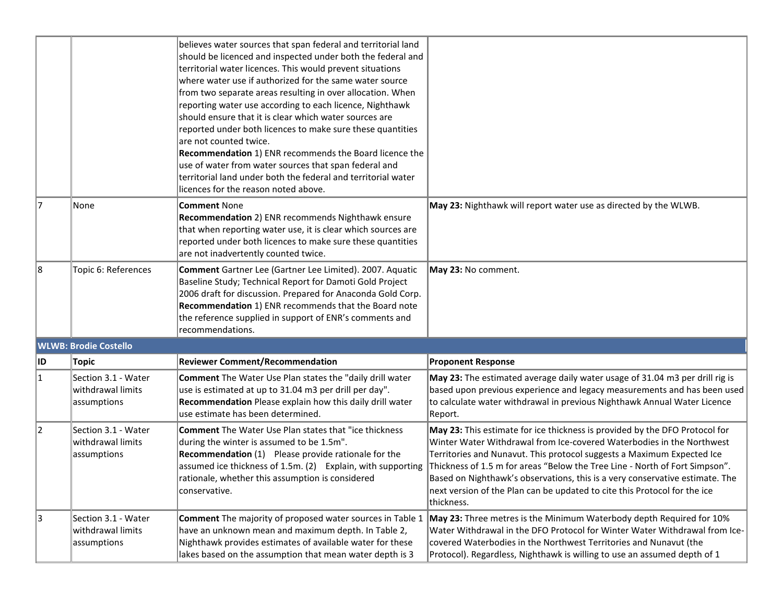|    |                                                         | believes water sources that span federal and territorial land<br>should be licenced and inspected under both the federal and<br>territorial water licences. This would prevent situations<br>where water use if authorized for the same water source<br>from two separate areas resulting in over allocation. When<br>reporting water use according to each licence, Nighthawk<br>should ensure that it is clear which water sources are<br>reported under both licences to make sure these quantities<br>lare not counted twice.<br>Recommendation 1) ENR recommends the Board licence the<br>use of water from water sources that span federal and<br>territorial land under both the federal and territorial water<br>licences for the reason noted above. |                                                                                                                                                                                                                                                                                                                                                                                                                                                                                          |
|----|---------------------------------------------------------|---------------------------------------------------------------------------------------------------------------------------------------------------------------------------------------------------------------------------------------------------------------------------------------------------------------------------------------------------------------------------------------------------------------------------------------------------------------------------------------------------------------------------------------------------------------------------------------------------------------------------------------------------------------------------------------------------------------------------------------------------------------|------------------------------------------------------------------------------------------------------------------------------------------------------------------------------------------------------------------------------------------------------------------------------------------------------------------------------------------------------------------------------------------------------------------------------------------------------------------------------------------|
| 17 | None                                                    | <b>Comment None</b><br>Recommendation 2) ENR recommends Nighthawk ensure<br>that when reporting water use, it is clear which sources are<br>reported under both licences to make sure these quantities<br>are not inadvertently counted twice.                                                                                                                                                                                                                                                                                                                                                                                                                                                                                                                | May 23: Nighthawk will report water use as directed by the WLWB.                                                                                                                                                                                                                                                                                                                                                                                                                         |
| 18 | Topic 6: References                                     | Comment Gartner Lee (Gartner Lee Limited). 2007. Aquatic<br>Baseline Study; Technical Report for Damoti Gold Project<br>2006 draft for discussion. Prepared for Anaconda Gold Corp.<br>Recommendation 1) ENR recommends that the Board note<br>the reference supplied in support of ENR's comments and<br>recommendations.                                                                                                                                                                                                                                                                                                                                                                                                                                    | May 23: No comment.                                                                                                                                                                                                                                                                                                                                                                                                                                                                      |
|    | <b>WLWB: Brodie Costello</b>                            |                                                                                                                                                                                                                                                                                                                                                                                                                                                                                                                                                                                                                                                                                                                                                               |                                                                                                                                                                                                                                                                                                                                                                                                                                                                                          |
| ID | Topic                                                   | <b>Reviewer Comment/Recommendation</b>                                                                                                                                                                                                                                                                                                                                                                                                                                                                                                                                                                                                                                                                                                                        | <b>Proponent Response</b>                                                                                                                                                                                                                                                                                                                                                                                                                                                                |
| 11 | Section 3.1 - Water<br>withdrawal limits<br>assumptions | <b>Comment</b> The Water Use Plan states the "daily drill water<br>use is estimated at up to 31.04 m3 per drill per day".<br>Recommendation Please explain how this daily drill water<br>use estimate has been determined.                                                                                                                                                                                                                                                                                                                                                                                                                                                                                                                                    | May 23: The estimated average daily water usage of 31.04 m3 per drill rig is<br>based upon previous experience and legacy measurements and has been used<br>to calculate water withdrawal in previous Nighthawk Annual Water Licence<br>Report.                                                                                                                                                                                                                                          |
| 12 | Section 3.1 - Water<br>withdrawal limits<br>assumptions | <b>Comment</b> The Water Use Plan states that "ice thickness<br>during the winter is assumed to be 1.5m".<br>Recommendation (1) Please provide rationale for the<br>assumed ice thickness of 1.5m. (2) Explain, with supporting<br>rationale, whether this assumption is considered<br>conservative.                                                                                                                                                                                                                                                                                                                                                                                                                                                          | May 23: This estimate for ice thickness is provided by the DFO Protocol for<br>Winter Water Withdrawal from Ice-covered Waterbodies in the Northwest<br>Territories and Nunavut. This protocol suggests a Maximum Expected Ice<br>Thickness of 1.5 m for areas "Below the Tree Line - North of Fort Simpson".<br>Based on Nighthawk's observations, this is a very conservative estimate. The<br>next version of the Plan can be updated to cite this Protocol for the ice<br>thickness. |
| 3  | Section 3.1 - Water<br>withdrawal limits<br>assumptions | Comment The majority of proposed water sources in Table 1<br>have an unknown mean and maximum depth. In Table 2,<br>Nighthawk provides estimates of available water for these<br>lakes based on the assumption that mean water depth is 3                                                                                                                                                                                                                                                                                                                                                                                                                                                                                                                     | May 23: Three metres is the Minimum Waterbody depth Required for 10%<br>Water Withdrawal in the DFO Protocol for Winter Water Withdrawal from Ice-<br>covered Waterbodies in the Northwest Territories and Nunavut (the<br>Protocol). Regardless, Nighthawk is willing to use an assumed depth of 1                                                                                                                                                                                      |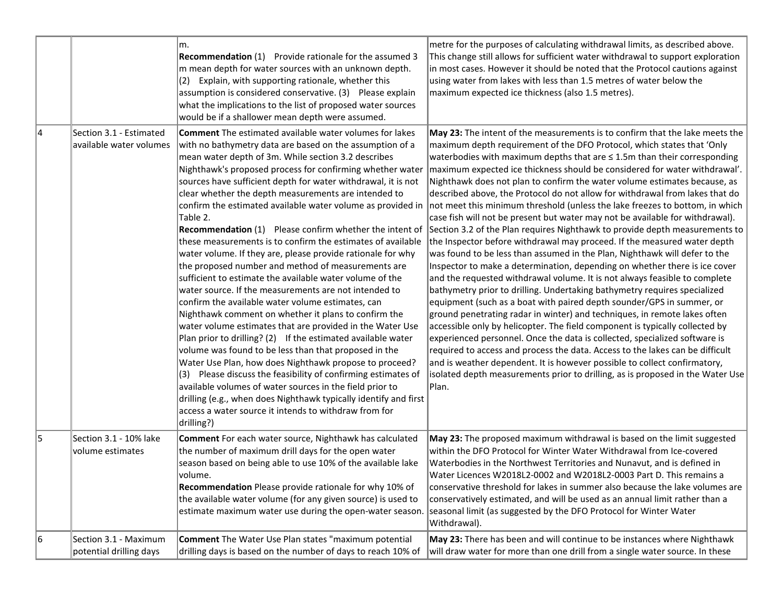|    |                                                    | m.<br><b>Recommendation</b> (1) Provide rationale for the assumed 3<br>m mean depth for water sources with an unknown depth.<br>$(2)$ Explain, with supporting rationale, whether this<br>assumption is considered conservative. (3) Please explain<br>what the implications to the list of proposed water sources<br>would be if a shallower mean depth were assumed.                                                                                                                                                                                                                                                                                                                                                                                                                                                                                                                                                                                                                                                                                                                                                                                                                                                                                                                                                                                                                         | metre for the purposes of calculating withdrawal limits, as described above.<br>This change still allows for sufficient water withdrawal to support exploration<br>in most cases. However it should be noted that the Protocol cautions against<br>using water from lakes with less than 1.5 metres of water below the<br>maximum expected ice thickness (also 1.5 metres).                                                                                                                                                                                                                                                                                                                                                                                                                                                                                                                                                                                                                                                                                                                                                                                                                                                                                                                                                                                                                                                                                                                                                                                                                                                                                                                                                                                                     |
|----|----------------------------------------------------|------------------------------------------------------------------------------------------------------------------------------------------------------------------------------------------------------------------------------------------------------------------------------------------------------------------------------------------------------------------------------------------------------------------------------------------------------------------------------------------------------------------------------------------------------------------------------------------------------------------------------------------------------------------------------------------------------------------------------------------------------------------------------------------------------------------------------------------------------------------------------------------------------------------------------------------------------------------------------------------------------------------------------------------------------------------------------------------------------------------------------------------------------------------------------------------------------------------------------------------------------------------------------------------------------------------------------------------------------------------------------------------------|---------------------------------------------------------------------------------------------------------------------------------------------------------------------------------------------------------------------------------------------------------------------------------------------------------------------------------------------------------------------------------------------------------------------------------------------------------------------------------------------------------------------------------------------------------------------------------------------------------------------------------------------------------------------------------------------------------------------------------------------------------------------------------------------------------------------------------------------------------------------------------------------------------------------------------------------------------------------------------------------------------------------------------------------------------------------------------------------------------------------------------------------------------------------------------------------------------------------------------------------------------------------------------------------------------------------------------------------------------------------------------------------------------------------------------------------------------------------------------------------------------------------------------------------------------------------------------------------------------------------------------------------------------------------------------------------------------------------------------------------------------------------------------|
| 14 | Section 3.1 - Estimated<br>available water volumes | <b>Comment</b> The estimated available water volumes for lakes<br>with no bathymetry data are based on the assumption of a<br>mean water depth of 3m. While section 3.2 describes<br>Nighthawk's proposed process for confirming whether water<br>sources have sufficient depth for water withdrawal, it is not<br>clear whether the depth measurements are intended to<br>Table 2.<br>Recommendation (1) Please confirm whether the intent of<br>these measurements is to confirm the estimates of available<br>water volume. If they are, please provide rationale for why<br>the proposed number and method of measurements are<br>sufficient to estimate the available water volume of the<br>water source. If the measurements are not intended to<br>confirm the available water volume estimates, can<br>Nighthawk comment on whether it plans to confirm the<br>water volume estimates that are provided in the Water Use<br>Plan prior to drilling? (2) If the estimated available water<br>volume was found to be less than that proposed in the<br>Water Use Plan, how does Nighthawk propose to proceed?<br>$(3)$ Please discuss the feasibility of confirming estimates of<br>available volumes of water sources in the field prior to<br>drilling (e.g., when does Nighthawk typically identify and first<br>access a water source it intends to withdraw from for<br>drilling?) | May 23: The intent of the measurements is to confirm that the lake meets the<br>maximum depth requirement of the DFO Protocol, which states that 'Only<br>waterbodies with maximum depths that are $\leq$ 1.5m than their corresponding<br>maximum expected ice thickness should be considered for water withdrawal'.<br>Nighthawk does not plan to confirm the water volume estimates because, as<br>described above, the Protocol do not allow for withdrawal from lakes that do<br>confirm the estimated available water volume as provided in  not meet this minimum threshold (unless the lake freezes to bottom, in which<br>case fish will not be present but water may not be available for withdrawal).<br>Section 3.2 of the Plan requires Nighthawk to provide depth measurements to<br>the Inspector before withdrawal may proceed. If the measured water depth<br>was found to be less than assumed in the Plan, Nighthawk will defer to the<br>Inspector to make a determination, depending on whether there is ice cover<br>and the requested withdrawal volume. It is not always feasible to complete<br>bathymetry prior to drilling. Undertaking bathymetry requires specialized<br>equipment (such as a boat with paired depth sounder/GPS in summer, or<br>ground penetrating radar in winter) and techniques, in remote lakes often<br>accessible only by helicopter. The field component is typically collected by<br>experienced personnel. Once the data is collected, specialized software is<br>required to access and process the data. Access to the lakes can be difficult<br>and is weather dependent. It is however possible to collect confirmatory,<br>isolated depth measurements prior to drilling, as is proposed in the Water Use<br>Plan. |
| 15 | Section 3.1 - 10% lake<br>volume estimates         | Comment For each water source, Nighthawk has calculated<br>the number of maximum drill days for the open water<br>season based on being able to use 10% of the available lake<br>volume.<br>Recommendation Please provide rationale for why 10% of<br>the available water volume (for any given source) is used to<br>estimate maximum water use during the open-water season.                                                                                                                                                                                                                                                                                                                                                                                                                                                                                                                                                                                                                                                                                                                                                                                                                                                                                                                                                                                                                 | May 23: The proposed maximum withdrawal is based on the limit suggested<br>within the DFO Protocol for Winter Water Withdrawal from Ice-covered<br>Waterbodies in the Northwest Territories and Nunavut, and is defined in<br>Water Licences W2018L2-0002 and W2018L2-0003 Part D. This remains a<br>conservative threshold for lakes in summer also because the lake volumes are<br>conservatively estimated, and will be used as an annual limit rather than a<br>seasonal limit (as suggested by the DFO Protocol for Winter Water<br>Withdrawal).                                                                                                                                                                                                                                                                                                                                                                                                                                                                                                                                                                                                                                                                                                                                                                                                                                                                                                                                                                                                                                                                                                                                                                                                                           |
| 16 | Section 3.1 - Maximum<br>potential drilling days   | <b>Comment</b> The Water Use Plan states "maximum potential<br>drilling days is based on the number of days to reach 10% of                                                                                                                                                                                                                                                                                                                                                                                                                                                                                                                                                                                                                                                                                                                                                                                                                                                                                                                                                                                                                                                                                                                                                                                                                                                                    | May 23: There has been and will continue to be instances where Nighthawk<br>will draw water for more than one drill from a single water source. In these                                                                                                                                                                                                                                                                                                                                                                                                                                                                                                                                                                                                                                                                                                                                                                                                                                                                                                                                                                                                                                                                                                                                                                                                                                                                                                                                                                                                                                                                                                                                                                                                                        |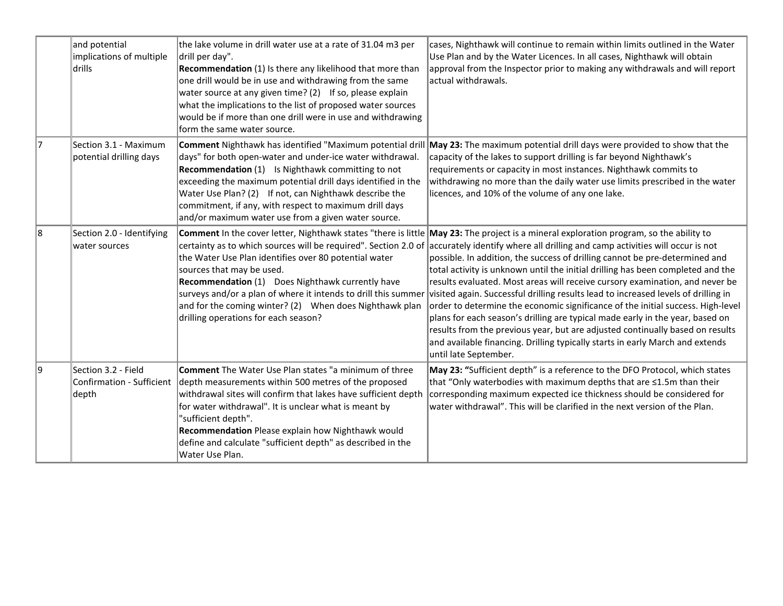|    | and potential<br>implications of multiple<br>drills       | the lake volume in drill water use at a rate of 31.04 m3 per<br>drill per day".<br>Recommendation (1) Is there any likelihood that more than<br>one drill would be in use and withdrawing from the same<br>water source at any given time? $(2)$ If so, please explain<br>what the implications to the list of proposed water sources<br>would be if more than one drill were in use and withdrawing<br>form the same water source. | cases, Nighthawk will continue to remain within limits outlined in the Water<br>Use Plan and by the Water Licences. In all cases, Nighthawk will obtain<br>approval from the Inspector prior to making any withdrawals and will report<br>lactual withdrawals.                                                                                                                                                                                                                                                                                                                                                                                                                                                                                                                                                                                                                                                                                                                                       |
|----|-----------------------------------------------------------|-------------------------------------------------------------------------------------------------------------------------------------------------------------------------------------------------------------------------------------------------------------------------------------------------------------------------------------------------------------------------------------------------------------------------------------|------------------------------------------------------------------------------------------------------------------------------------------------------------------------------------------------------------------------------------------------------------------------------------------------------------------------------------------------------------------------------------------------------------------------------------------------------------------------------------------------------------------------------------------------------------------------------------------------------------------------------------------------------------------------------------------------------------------------------------------------------------------------------------------------------------------------------------------------------------------------------------------------------------------------------------------------------------------------------------------------------|
| 17 | Section 3.1 - Maximum<br>potential drilling days          | days" for both open-water and under-ice water withdrawal.<br><b>Recommendation</b> (1) Is Nighthawk committing to not<br>exceeding the maximum potential drill days identified in the<br>Water Use Plan? (2) If not, can Nighthawk describe the<br>commitment, if any, with respect to maximum drill days<br>and/or maximum water use from a given water source.                                                                    | <b>Comment</b> Nighthawk has identified "Maximum potential drill <b>May 23:</b> The maximum potential drill days were provided to show that the<br>capacity of the lakes to support drilling is far beyond Nighthawk's<br>requirements or capacity in most instances. Nighthawk commits to<br>withdrawing no more than the daily water use limits prescribed in the water<br>licences, and 10% of the volume of any one lake.                                                                                                                                                                                                                                                                                                                                                                                                                                                                                                                                                                        |
| 8  | Section 2.0 - Identifying<br>water sources                | the Water Use Plan identifies over 80 potential water<br>sources that may be used.<br>Recommendation (1) Does Nighthawk currently have<br>surveys and/or a plan of where it intends to drill this summer<br>and for the coming winter? (2) When does Nighthawk plan<br>drilling operations for each season?                                                                                                                         | <b>Comment</b> In the cover letter, Nighthawk states "there is little May 23: The project is a mineral exploration program, so the ability to<br>certainty as to which sources will be required". Section 2.0 of accurately identify where all drilling and camp activities will occur is not<br>possible. In addition, the success of drilling cannot be pre-determined and<br>total activity is unknown until the initial drilling has been completed and the<br>results evaluated. Most areas will receive cursory examination, and never be<br>visited again. Successful drilling results lead to increased levels of drilling in<br>order to determine the economic significance of the initial success. High-level<br>plans for each season's drilling are typical made early in the year, based on<br>results from the previous year, but are adjusted continually based on results<br>and available financing. Drilling typically starts in early March and extends<br>until late September. |
| 9  | Section 3.2 - Field<br>Confirmation - Sufficient<br>depth | <b>Comment</b> The Water Use Plan states "a minimum of three<br>depth measurements within 500 metres of the proposed<br>withdrawal sites will confirm that lakes have sufficient depth<br>for water withdrawal". It is unclear what is meant by<br>"sufficient depth".<br>Recommendation Please explain how Nighthawk would<br>define and calculate "sufficient depth" as described in the<br>Water Use Plan.                       | May 23: "Sufficient depth" is a reference to the DFO Protocol, which states<br>that "Only waterbodies with maximum depths that are ≤1.5m than their<br>corresponding maximum expected ice thickness should be considered for<br>water withdrawal". This will be clarified in the next version of the Plan.                                                                                                                                                                                                                                                                                                                                                                                                                                                                                                                                                                                                                                                                                           |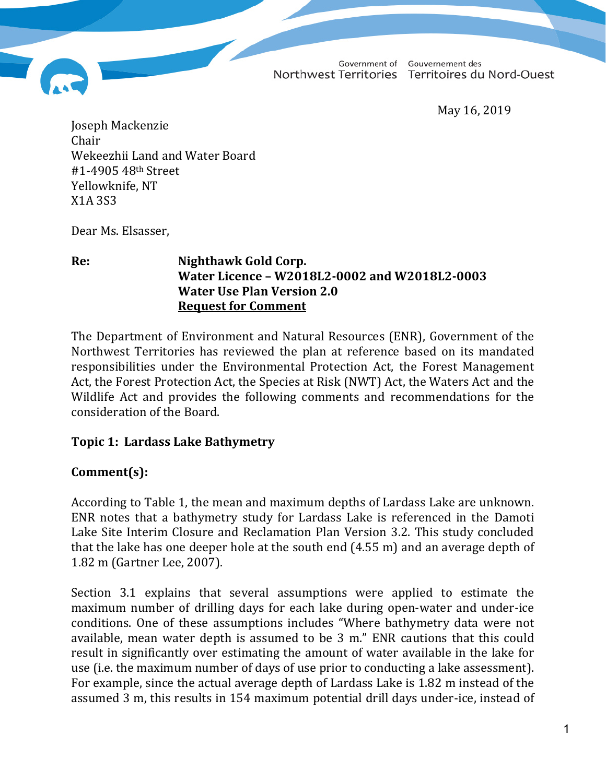Government of

Gouvernement des Northwest Territories Territoires du Nord-Ouest

May 16, 2019

Joseph Mackenzie Chair Wekeezhii Land and Water Board #1-4905 48th Street Yellowknife, NT X1A 3S3

Dear Ms. Elsasser,

#### **Re: Nighthawk Gold Corp. Water Licence – W2018L2-0002 and W2018L2-0003 Water Use Plan Version 2.0 Request for Comment**

The Department of Environment and Natural Resources (ENR), Government of the Northwest Territories has reviewed the plan at reference based on its mandated responsibilities under the Environmental Protection Act, the Forest Management Act, the Forest Protection Act, the Species at Risk (NWT) Act, the Waters Act and the Wildlife Act and provides the following comments and recommendations for the consideration of the Board.

#### **Topic 1: Lardass Lake Bathymetry**

## **Comment(s):**

According to Table 1, the mean and maximum depths of Lardass Lake are unknown. ENR notes that a bathymetry study for Lardass Lake is referenced in the Damoti Lake Site Interim Closure and Reclamation Plan Version 3.2. This study concluded that the lake has one deeper hole at the south end (4.55 m) and an average depth of 1.82 m (Gartner Lee, 2007).

Section 3.1 explains that several assumptions were applied to estimate the maximum number of drilling days for each lake during open-water and under-ice conditions. One of these assumptions includes "Where bathymetry data were not available, mean water depth is assumed to be 3 m." ENR cautions that this could result in significantly over estimating the amount of water available in the lake for use (i.e. the maximum number of days of use prior to conducting a lake assessment). For example, since the actual average depth of Lardass Lake is 1.82 m instead of the assumed 3 m, this results in 154 maximum potential drill days under-ice, instead of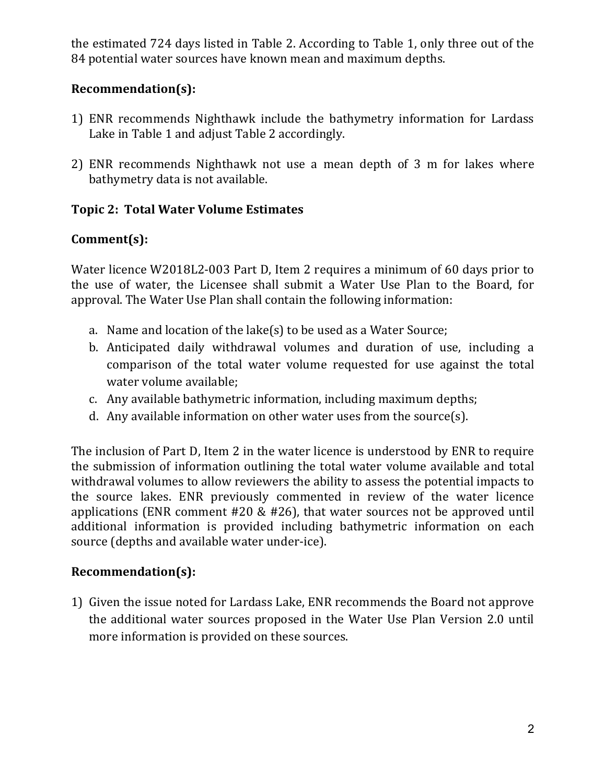the estimated 724 days listed in Table 2. According to Table 1, only three out of the 84 potential water sources have known mean and maximum depths.

## **Recommendation(s):**

- 1) ENR recommends Nighthawk include the bathymetry information for Lardass Lake in Table 1 and adjust Table 2 accordingly.
- 2) ENR recommends Nighthawk not use a mean depth of 3 m for lakes where bathymetry data is not available.

## **Topic 2: Total Water Volume Estimates**

# **Comment(s):**

Water licence W2018L2-003 Part D, Item 2 requires a minimum of 60 days prior to the use of water, the Licensee shall submit a Water Use Plan to the Board, for approval. The Water Use Plan shall contain the following information:

- a. Name and location of the lake(s) to be used as a Water Source;
- b. Anticipated daily withdrawal volumes and duration of use, including a comparison of the total water volume requested for use against the total water volume available;
- c. Any available bathymetric information, including maximum depths;
- d. Any available information on other water uses from the source(s).

The inclusion of Part D, Item 2 in the water licence is understood by ENR to require the submission of information outlining the total water volume available and total withdrawal volumes to allow reviewers the ability to assess the potential impacts to the source lakes. ENR previously commented in review of the water licence applications (ENR comment #20 & #26), that water sources not be approved until additional information is provided including bathymetric information on each source (depths and available water under-ice).

## **Recommendation(s):**

1) Given the issue noted for Lardass Lake, ENR recommends the Board not approve the additional water sources proposed in the Water Use Plan Version 2.0 until more information is provided on these sources.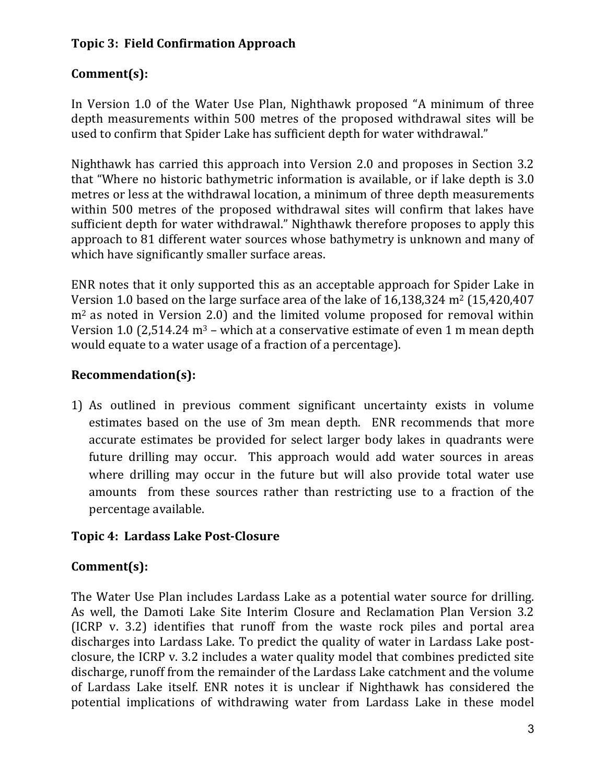## **Topic 3: Field Confirmation Approach**

# **Comment(s):**

In Version 1.0 of the Water Use Plan, Nighthawk proposed "A minimum of three depth measurements within 500 metres of the proposed withdrawal sites will be used to confirm that Spider Lake has sufficient depth for water withdrawal."

Nighthawk has carried this approach into Version 2.0 and proposes in Section 3.2 that "Where no historic bathymetric information is available, or if lake depth is 3.0 metres or less at the withdrawal location, a minimum of three depth measurements within 500 metres of the proposed withdrawal sites will confirm that lakes have sufficient depth for water withdrawal." Nighthawk therefore proposes to apply this approach to 81 different water sources whose bathymetry is unknown and many of which have significantly smaller surface areas.

ENR notes that it only supported this as an acceptable approach for Spider Lake in Version 1.0 based on the large surface area of the lake of 16,138,324 m2 (15,420,407 m<sup>2</sup> as noted in Version 2.0) and the limited volume proposed for removal within Version 1.0 (2,514.24  $m<sup>3</sup>$  – which at a conservative estimate of even 1 m mean depth would equate to a water usage of a fraction of a percentage).

## **Recommendation(s):**

1) As outlined in previous comment significant uncertainty exists in volume estimates based on the use of 3m mean depth. ENR recommends that more accurate estimates be provided for select larger body lakes in quadrants were future drilling may occur. This approach would add water sources in areas where drilling may occur in the future but will also provide total water use amounts from these sources rather than restricting use to a fraction of the percentage available.

#### **Topic 4: Lardass Lake Post-Closure**

## **Comment(s):**

The Water Use Plan includes Lardass Lake as a potential water source for drilling. As well, the Damoti Lake Site Interim Closure and Reclamation Plan Version 3.2 (ICRP v. 3.2) identifies that runoff from the waste rock piles and portal area discharges into Lardass Lake. To predict the quality of water in Lardass Lake postclosure, the ICRP v. 3.2 includes a water quality model that combines predicted site discharge, runoff from the remainder of the Lardass Lake catchment and the volume of Lardass Lake itself. ENR notes it is unclear if Nighthawk has considered the potential implications of withdrawing water from Lardass Lake in these model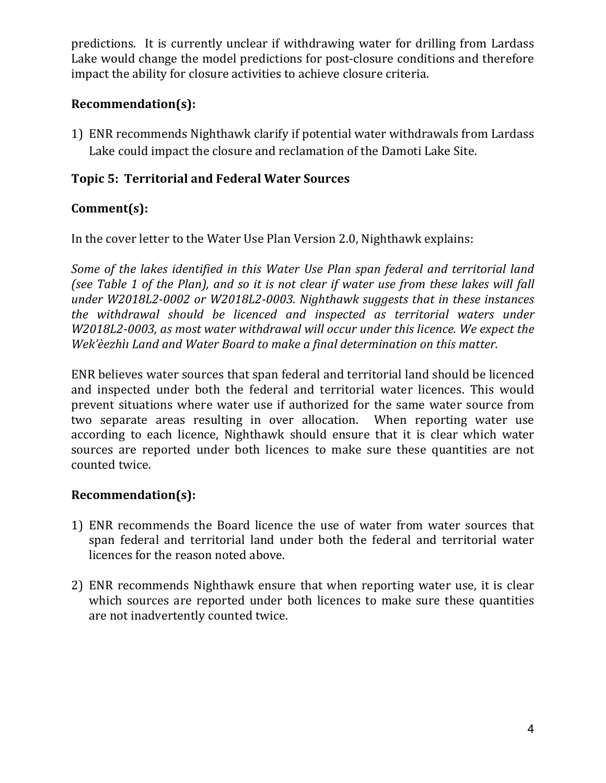predictions. It is currently unclear if withdrawing water for drilling from Lardass Lake would change the model predictions for post-closure conditions and therefore impact the ability for closure activities to achieve closure criteria.

### **Recommendation(s):**

1) ENR recommends Nighthawk clarify if potential water withdrawals from Lardass Lake could impact the closure and reclamation of the Damoti Lake Site.

### **Topic 5: Territorial and Federal Water Sources**

### **Comment(s):**

In the cover letter to the Water Use Plan Version 2.0, Nighthawk explains:

*Some of the lakes identified in this Water Use Plan span federal and territorial land (see Table 1 of the Plan), and so it is not clear if water use from these lakes will fall under W2018L2-0002 or W2018L2-0003. Nighthawk suggests that in these instances the withdrawal should be licenced and inspected as territorial waters under W2018L2-0003, as most water withdrawal will occur under this licence. We expect the Wek'èezhìı Land and Water Board to make a final determination on this matter.*

ENR believes water sources that span federal and territorial land should be licenced and inspected under both the federal and territorial water licences. This would prevent situations where water use if authorized for the same water source from two separate areas resulting in over allocation. When reporting water use according to each licence, Nighthawk should ensure that it is clear which water sources are reported under both licences to make sure these quantities are not counted twice.

#### **Recommendation(s):**

- 1) ENR recommends the Board licence the use of water from water sources that span federal and territorial land under both the federal and territorial water licences for the reason noted above.
- 2) ENR recommends Nighthawk ensure that when reporting water use, it is clear which sources are reported under both licences to make sure these quantities are not inadvertently counted twice.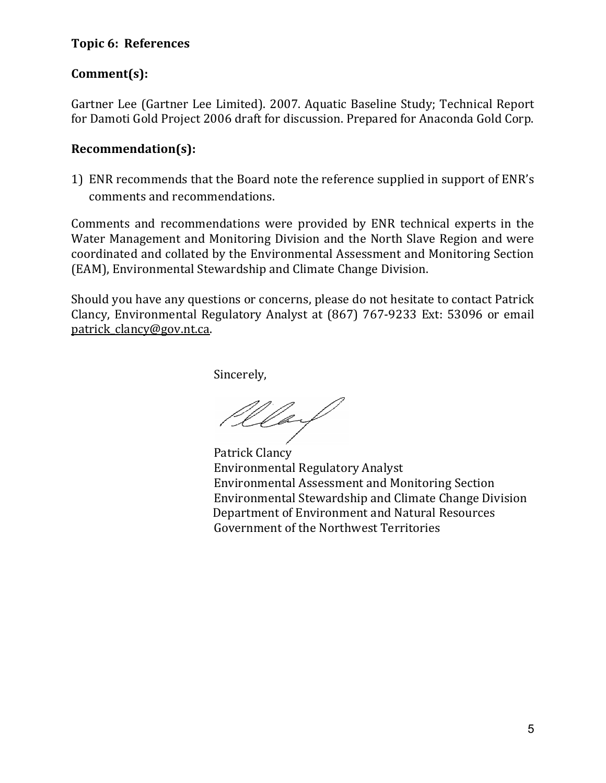#### **Topic 6: References**

#### **Comment(s):**

Gartner Lee (Gartner Lee Limited). 2007. Aquatic Baseline Study; Technical Report for Damoti Gold Project 2006 draft for discussion. Prepared for Anaconda Gold Corp.

#### **Recommendation(s):**

1) ENR recommends that the Board note the reference supplied in support of ENR's comments and recommendations.

Comments and recommendations were provided by ENR technical experts in the Water Management and Monitoring Division and the North Slave Region and were coordinated and collated by the Environmental Assessment and Monitoring Section (EAM), Environmental Stewardship and Climate Change Division.

Should you have any questions or concerns, please do not hesitate to contact Patrick Clancy, Environmental Regulatory Analyst at (867) 767-9233 Ext: 53096 or email [patrick\\_clancy@gov.nt.ca.](mailto:patrick_clancy@gov.nt.ca)

Sincerely,

Wlay

Patrick Clancy Environmental Regulatory Analyst Environmental Assessment and Monitoring Section Environmental Stewardship and Climate Change Division Department of Environment and Natural Resources Government of the Northwest Territories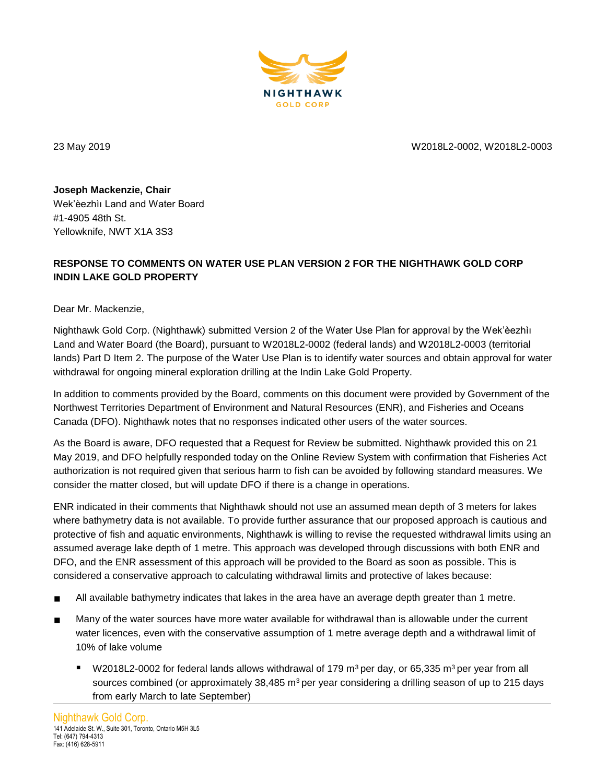

23 May 2019 W2018L2-0002, W2018L2-0003

**Joseph Mackenzie, Chair** Wek'èezhìı Land and Water Board #1-4905 48th St. Yellowknife, NWT X1A 3S3

#### **RESPONSE TO COMMENTS ON WATER USE PLAN VERSION 2 FOR THE NIGHTHAWK GOLD CORP INDIN LAKE GOLD PROPERTY**

Dear Mr. Mackenzie,

Nighthawk Gold Corp. (Nighthawk) submitted Version 2 of the Water Use Plan for approval by the Wek'èezhìı Land and Water Board (the Board), pursuant to W2018L2-0002 (federal lands) and W2018L2-0003 (territorial lands) Part D Item 2. The purpose of the Water Use Plan is to identify water sources and obtain approval for water withdrawal for ongoing mineral exploration drilling at the Indin Lake Gold Property.

In addition to comments provided by the Board, comments on this document were provided by Government of the Northwest Territories Department of Environment and Natural Resources (ENR), and Fisheries and Oceans Canada (DFO). Nighthawk notes that no responses indicated other users of the water sources.

As the Board is aware, DFO requested that a Request for Review be submitted. Nighthawk provided this on 21 May 2019, and DFO helpfully responded today on the Online Review System with confirmation that Fisheries Act authorization is not required given that serious harm to fish can be avoided by following standard measures. We consider the matter closed, but will update DFO if there is a change in operations.

ENR indicated in their comments that Nighthawk should not use an assumed mean depth of 3 meters for lakes where bathymetry data is not available. To provide further assurance that our proposed approach is cautious and protective of fish and aquatic environments, Nighthawk is willing to revise the requested withdrawal limits using an assumed average lake depth of 1 metre. This approach was developed through discussions with both ENR and DFO, and the ENR assessment of this approach will be provided to the Board as soon as possible. This is considered a conservative approach to calculating withdrawal limits and protective of lakes because:

- All available bathymetry indicates that lakes in the area have an average depth greater than 1 metre.
- Many of the water sources have more water available for withdrawal than is allowable under the current water licences, even with the conservative assumption of 1 metre average depth and a withdrawal limit of 10% of lake volume
	- W2018L2-0002 for federal lands allows withdrawal of 179 m<sup>3</sup> per day, or 65,335 m<sup>3</sup> per year from all sources combined (or approximately  $38,485$  m<sup>3</sup> per year considering a drilling season of up to 215 days from early March to late September)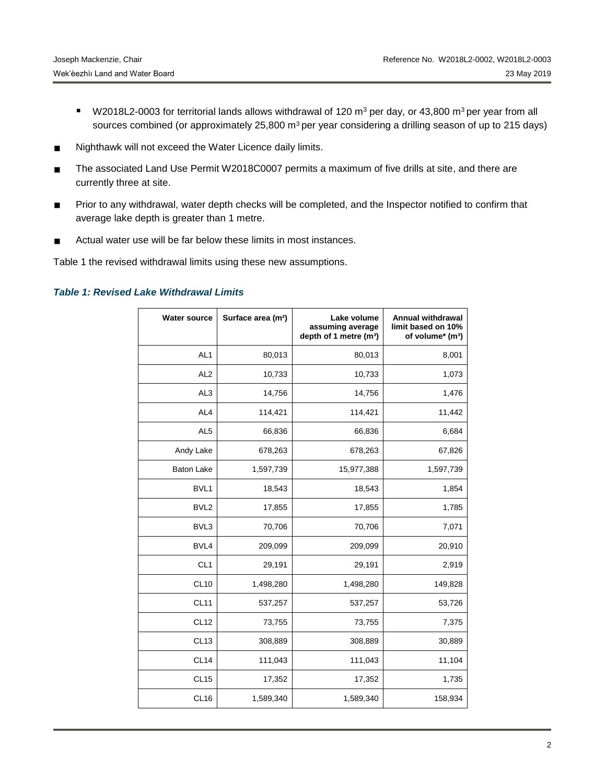- W2018L2-0003 for territorial lands allows withdrawal of 120 m<sup>3</sup> per day, or 43,800 m<sup>3</sup> per year from all sources combined (or approximately 25,800 m<sup>3</sup> per year considering a drilling season of up to 215 days)
- Nighthawk will not exceed the Water Licence daily limits.
- The associated Land Use Permit W2018C0007 permits a maximum of five drills at site, and there are currently three at site.
- Prior to any withdrawal, water depth checks will be completed, and the Inspector notified to confirm that average lake depth is greater than 1 metre.
- Actual water use will be far below these limits in most instances.

Table 1 the revised withdrawal limits using these new assumptions.

#### *Table 1: Revised Lake Withdrawal Limits*

| <b>Water source</b> | Surface area (m <sup>2</sup> ) | Lake volume<br>assuming average<br>depth of 1 metre (m <sup>3</sup> ) | Annual withdrawal<br>limit based on 10%<br>of volume* (m <sup>3</sup> ) |
|---------------------|--------------------------------|-----------------------------------------------------------------------|-------------------------------------------------------------------------|
| AL <sub>1</sub>     | 80,013                         | 80,013                                                                | 8,001                                                                   |
| AL <sub>2</sub>     | 10,733                         | 10,733                                                                | 1,073                                                                   |
| AL <sub>3</sub>     | 14,756                         | 14,756                                                                | 1,476                                                                   |
| AL <sub>4</sub>     | 114,421                        | 114,421                                                               | 11,442                                                                  |
| AL <sub>5</sub>     | 66,836                         | 66,836                                                                | 6,684                                                                   |
| Andy Lake           | 678,263                        | 678,263                                                               | 67,826                                                                  |
| <b>Baton Lake</b>   | 1,597,739                      | 15,977,388                                                            | 1,597,739                                                               |
| BVL1                | 18,543                         | 18,543                                                                | 1,854                                                                   |
| BVL <sub>2</sub>    | 17,855                         | 17,855                                                                | 1,785                                                                   |
| BVL3                | 70,706                         | 70,706                                                                | 7,071                                                                   |
| BVL4                | 209,099                        | 209,099                                                               | 20,910                                                                  |
| CL <sub>1</sub>     | 29,191                         | 29,191                                                                | 2,919                                                                   |
| <b>CL10</b>         | 1,498,280                      | 1,498,280                                                             | 149,828                                                                 |
| <b>CL11</b>         | 537,257                        | 537,257                                                               | 53,726                                                                  |
| <b>CL12</b>         | 73,755                         | 73,755                                                                | 7,375                                                                   |
| CL <sub>13</sub>    | 308,889                        | 308,889                                                               | 30,889                                                                  |
| <b>CL14</b>         | 111,043                        | 111,043                                                               | 11,104                                                                  |
| CL <sub>15</sub>    | 17,352                         | 17,352                                                                | 1,735                                                                   |
| CL <sub>16</sub>    | 1,589,340                      | 1,589,340                                                             | 158,934                                                                 |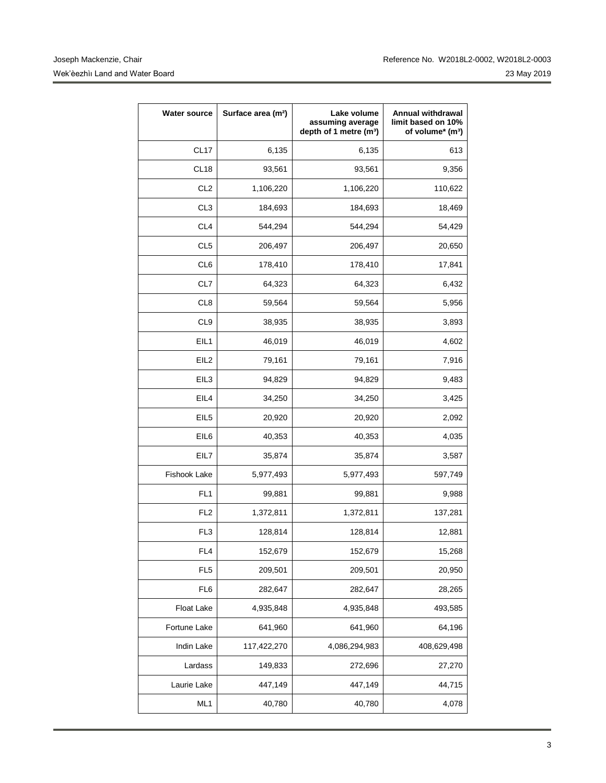| <b>Water source</b> | Surface area (m <sup>2</sup> ) | Lake volume<br>assuming average<br>depth of 1 metre (m <sup>3</sup> ) | Annual withdrawal<br>limit based on 10%<br>of volume* (m <sup>3</sup> ) |
|---------------------|--------------------------------|-----------------------------------------------------------------------|-------------------------------------------------------------------------|
| CL <sub>17</sub>    | 6,135                          | 6,135                                                                 | 613                                                                     |
| CL <sub>18</sub>    | 93,561                         | 93,561                                                                | 9,356                                                                   |
| CL <sub>2</sub>     | 1,106,220                      | 1,106,220                                                             | 110,622                                                                 |
| CL <sub>3</sub>     | 184,693                        | 184,693                                                               | 18,469                                                                  |
| CL <sub>4</sub>     | 544,294                        | 544,294                                                               | 54,429                                                                  |
| CL <sub>5</sub>     | 206,497                        | 206,497                                                               | 20,650                                                                  |
| CL6                 | 178,410                        | 178,410                                                               | 17,841                                                                  |
| CL7                 | 64,323                         | 64,323                                                                | 6,432                                                                   |
| CL <sub>8</sub>     | 59,564                         | 59,564                                                                | 5,956                                                                   |
| CL <sub>9</sub>     | 38,935                         | 38,935                                                                | 3,893                                                                   |
| EIL1                | 46,019                         | 46,019                                                                | 4,602                                                                   |
| EIL <sub>2</sub>    | 79,161                         | 79,161                                                                | 7,916                                                                   |
| EIL3                | 94,829                         | 94,829                                                                | 9,483                                                                   |
| EIL4                | 34,250                         | 34,250                                                                | 3,425                                                                   |
| EIL <sub>5</sub>    | 20,920                         | 20,920                                                                | 2,092                                                                   |
| EIL6                | 40,353                         | 40,353                                                                | 4,035                                                                   |
| EIL7                | 35,874                         | 35,874                                                                | 3,587                                                                   |
| Fishook Lake        | 5,977,493                      | 5,977,493                                                             | 597,749                                                                 |
| FL <sub>1</sub>     | 99,881                         | 99,881                                                                | 9,988                                                                   |
| FL <sub>2</sub>     | 1,372,811                      | 1,372,811                                                             | 137,281                                                                 |
| FL <sub>3</sub>     | 128,814                        | 128,814                                                               | 12,881                                                                  |
| FL <sub>4</sub>     | 152,679                        | 152,679                                                               | 15,268                                                                  |
| FL <sub>5</sub>     | 209,501                        | 209,501                                                               | 20,950                                                                  |
| FL <sub>6</sub>     | 282,647                        | 282,647                                                               | 28,265                                                                  |
| Float Lake          | 4,935,848                      | 4,935,848                                                             | 493,585                                                                 |
| Fortune Lake        | 641,960                        | 641,960                                                               | 64,196                                                                  |
| Indin Lake          | 117,422,270                    | 4,086,294,983                                                         | 408,629,498                                                             |
| Lardass             | 149,833                        | 272,696                                                               | 27,270                                                                  |
| Laurie Lake         | 447,149                        | 447,149                                                               | 44,715                                                                  |
| ML1                 | 40,780                         | 40,780                                                                | 4,078                                                                   |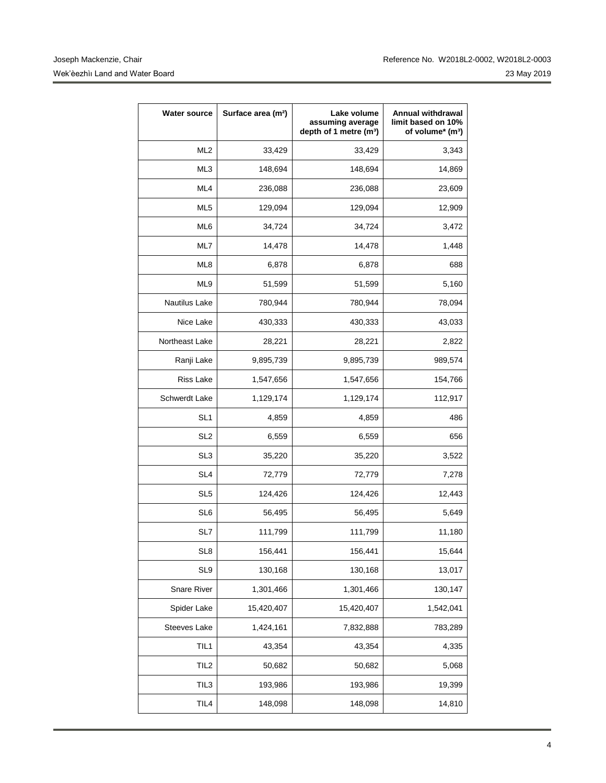| <b>Water source</b> | Surface area (m <sup>2</sup> ) | Lake volume<br>assuming average<br>depth of 1 metre (m <sup>3</sup> ) | <b>Annual withdrawal</b><br>limit based on 10%<br>of volume* (m <sup>3</sup> ) |
|---------------------|--------------------------------|-----------------------------------------------------------------------|--------------------------------------------------------------------------------|
| ML <sub>2</sub>     | 33,429                         | 33,429                                                                | 3,343                                                                          |
| ML3                 | 148,694                        | 148,694                                                               | 14,869                                                                         |
| ML4                 | 236,088                        | 236,088                                                               | 23,609                                                                         |
| ML <sub>5</sub>     | 129,094                        | 129,094                                                               | 12,909                                                                         |
| ML6                 | 34,724                         | 34,724                                                                | 3,472                                                                          |
| ML7                 | 14,478                         | 14,478                                                                | 1,448                                                                          |
| ML8                 | 6,878                          | 6,878                                                                 | 688                                                                            |
| ML9                 | 51,599                         | 51,599                                                                | 5,160                                                                          |
| Nautilus Lake       | 780,944                        | 780,944                                                               | 78,094                                                                         |
| Nice Lake           | 430,333                        | 430,333                                                               | 43,033                                                                         |
| Northeast Lake      | 28,221                         | 28,221                                                                | 2,822                                                                          |
| Ranji Lake          | 9,895,739                      | 9,895,739                                                             | 989,574                                                                        |
| <b>Riss Lake</b>    | 1,547,656                      | 1,547,656                                                             | 154,766                                                                        |
| Schwerdt Lake       | 1,129,174                      | 1,129,174                                                             | 112,917                                                                        |
| SL <sub>1</sub>     | 4,859                          | 4,859                                                                 | 486                                                                            |
| SL <sub>2</sub>     | 6,559                          | 6,559                                                                 | 656                                                                            |
| SL <sub>3</sub>     | 35,220                         | 35,220                                                                | 3,522                                                                          |
| SL <sub>4</sub>     | 72,779                         | 72,779                                                                | 7,278                                                                          |
| SL <sub>5</sub>     | 124,426                        | 124,426                                                               | 12,443                                                                         |
| SL6                 | 56,495                         | 56,495                                                                | 5,649                                                                          |
| SL7                 | 111,799                        | 111,799                                                               | 11,180                                                                         |
| SL <sub>8</sub>     | 156,441                        | 156,441                                                               | 15,644                                                                         |
| SL9                 | 130,168                        | 130,168                                                               | 13,017                                                                         |
| Snare River         | 1,301,466                      | 1,301,466                                                             | 130,147                                                                        |
| Spider Lake         | 15,420,407                     | 15,420,407                                                            | 1,542,041                                                                      |
| Steeves Lake        | 1,424,161                      | 7,832,888                                                             | 783,289                                                                        |
| TIL1                | 43,354                         | 43,354                                                                | 4,335                                                                          |
| TIL <sub>2</sub>    | 50,682                         | 50,682                                                                | 5,068                                                                          |
| TIL <sub>3</sub>    | 193,986                        | 193,986                                                               | 19,399                                                                         |
| TIL <sub>4</sub>    | 148,098                        | 148,098                                                               | 14,810                                                                         |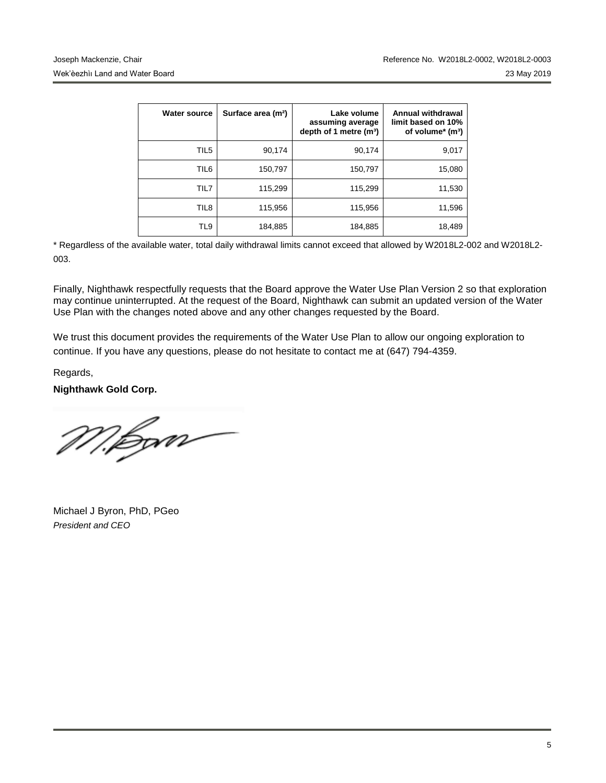| <b>Water source</b> | Surface area (m <sup>2</sup> ) | Lake volume<br>assuming average<br>depth of 1 metre $(m3)$ | Annual withdrawal<br>limit based on 10%<br>of volume* (m <sup>3</sup> ) |
|---------------------|--------------------------------|------------------------------------------------------------|-------------------------------------------------------------------------|
| TIL5                | 90,174                         | 90.174                                                     | 9,017                                                                   |
| TIL6                | 150,797                        | 150,797                                                    | 15,080                                                                  |
| TIL7                | 115,299                        | 115,299                                                    | 11,530                                                                  |
| TIL <sub>8</sub>    | 115,956                        | 115,956                                                    | 11,596                                                                  |
| TL9                 | 184,885                        | 184,885                                                    | 18,489                                                                  |

\* Regardless of the available water, total daily withdrawal limits cannot exceed that allowed by W2018L2-002 and W2018L2- 003.

Finally, Nighthawk respectfully requests that the Board approve the Water Use Plan Version 2 so that exploration may continue uninterrupted. At the request of the Board, Nighthawk can submit an updated version of the Water Use Plan with the changes noted above and any other changes requested by the Board.

We trust this document provides the requirements of the Water Use Plan to allow our ongoing exploration to continue. If you have any questions, please do not hesitate to contact me at (647) 794-4359.

Regards,

**Nighthawk Gold Corp.**

M.Bom

Michael J Byron, PhD, PGeo *President and CEO*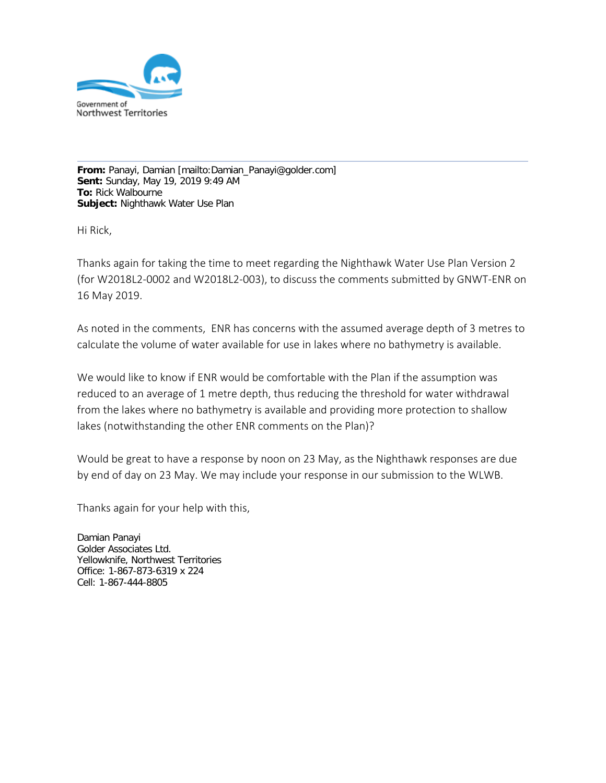

**From:** Panayi, Damian [mailto:Damian\_Panayi@golder.com] **Sent:** Sunday, May 19, 2019 9:49 AM **To:** Rick Walbourne **Subject:** Nighthawk Water Use Plan

Hi Rick,

Thanks again for taking the time to meet regarding the Nighthawk Water Use Plan Version 2 (for W2018L2-0002 and W2018L2-003), to discuss the comments submitted by GNWT-ENR on 16 May 2019.

As noted in the comments, ENR has concerns with the assumed average depth of 3 metres to calculate the volume of water available for use in lakes where no bathymetry is available.

We would like to know if ENR would be comfortable with the Plan if the assumption was reduced to an average of 1 metre depth, thus reducing the threshold for water withdrawal from the lakes where no bathymetry is available and providing more protection to shallow lakes (notwithstanding the other ENR comments on the Plan)?

Would be great to have a response by noon on 23 May, as the Nighthawk responses are due by end of day on 23 May. We may include your response in our submission to the WLWB.

Thanks again for your help with this,

Damian Panayi Golder Associates Ltd. Yellowknife, Northwest Territories Office: 1-867-873-6319 x 224 Cell: 1-867-444-8805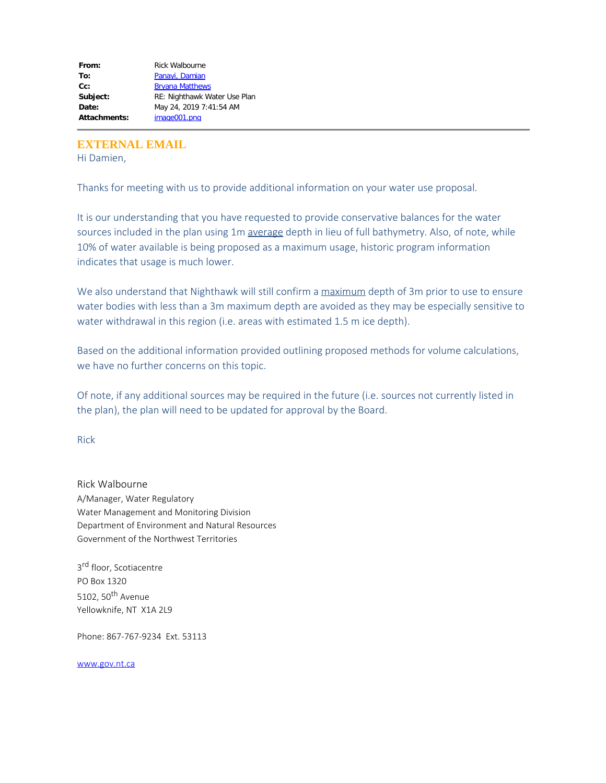| RE: Nighthawk Water Use Plan |
|------------------------------|
| May 24, 2019 7:41:54 AM      |
|                              |
|                              |

**EXTERNAL EMAIL**

Hi Damien,

Thanks for meeting with us to provide additional information on your water use proposal.

It is our understanding that you have requested to provide conservative balances for the water sources included in the plan using 1m average depth in lieu of full bathymetry. Also, of note, while 10% of water available is being proposed as a maximum usage, historic program information indicates that usage is much lower.

We also understand that Nighthawk will still confirm a maximum depth of 3m prior to use to ensure water bodies with less than a 3m maximum depth are avoided as they may be especially sensitive to water withdrawal in this region (i.e. areas with estimated 1.5 m ice depth).

Based on the additional information provided outlining proposed methods for volume calculations, we have no further concerns on this topic.

Of note, if any additional sources may be required in the future (i.e. sources not currently listed in the plan), the plan will need to be updated for approval by the Board.

Rick

Rick Walbourne A/Manager, Water Regulatory Water Management and Monitoring Division Department of Environment and Natural Resources Government of the Northwest Territories

3<sup>rd</sup> floor, Scotiacentre PO Box 1320 5102, 50<sup>th</sup> Avenue Yellowknife, NT X1A 2L9

Phone: 867-767-9234 Ext. 53113

[www.gov.nt.ca](http://www.gov.nt.ca/)